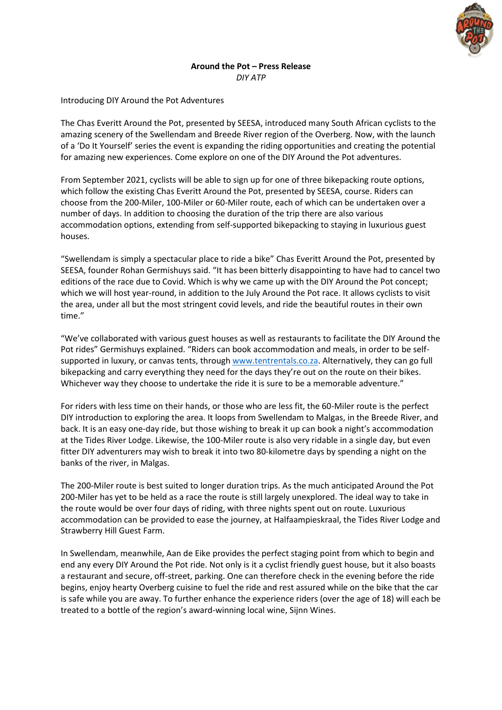

## **Around the Pot – Press Release** *DIY ATP*

Introducing DIY Around the Pot Adventures

The Chas Everitt Around the Pot, presented by SEESA, introduced many South African cyclists to the amazing scenery of the Swellendam and Breede River region of the Overberg. Now, with the launch of a 'Do It Yourself' series the event is expanding the riding opportunities and creating the potential for amazing new experiences. Come explore on one of the DIY Around the Pot adventures.

From September 2021, cyclists will be able to sign up for one of three bikepacking route options, which follow the existing Chas Everitt Around the Pot, presented by SEESA, course. Riders can choose from the 200-Miler, 100-Miler or 60-Miler route, each of which can be undertaken over a number of days. In addition to choosing the duration of the trip there are also various accommodation options, extending from self-supported bikepacking to staying in luxurious guest houses.

"Swellendam is simply a spectacular place to ride a bike" Chas Everitt Around the Pot, presented by SEESA, founder Rohan Germishuys said. "It has been bitterly disappointing to have had to cancel two editions of the race due to Covid. Which is why we came up with the DIY Around the Pot concept; which we will host year-round, in addition to the July Around the Pot race. It allows cyclists to visit the area, under all but the most stringent covid levels, and ride the beautiful routes in their own time."

"We've collaborated with various guest houses as well as restaurants to facilitate the DIY Around the Pot rides" Germishuys explained. "Riders can book accommodation and meals, in order to be selfsupported in luxury, or canvas tents, throug[h www.tentrentals.co.za.](http://www.tentrentals.co.za/) Alternatively, they can go full bikepacking and carry everything they need for the days they're out on the route on their bikes. Whichever way they choose to undertake the ride it is sure to be a memorable adventure."

For riders with less time on their hands, or those who are less fit, the 60-Miler route is the perfect DIY introduction to exploring the area. It loops from Swellendam to Malgas, in the Breede River, and back. It is an easy one-day ride, but those wishing to break it up can book a night's accommodation at the Tides River Lodge. Likewise, the 100-Miler route is also very ridable in a single day, but even fitter DIY adventurers may wish to break it into two 80-kilometre days by spending a night on the banks of the river, in Malgas.

The 200-Miler route is best suited to longer duration trips. As the much anticipated Around the Pot 200-Miler has yet to be held as a race the route is still largely unexplored. The ideal way to take in the route would be over four days of riding, with three nights spent out on route. Luxurious accommodation can be provided to ease the journey, at Halfaampieskraal, the Tides River Lodge and Strawberry Hill Guest Farm.

In Swellendam, meanwhile, Aan de Eike provides the perfect staging point from which to begin and end any every DIY Around the Pot ride. Not only is it a cyclist friendly guest house, but it also boasts a restaurant and secure, off-street, parking. One can therefore check in the evening before the ride begins, enjoy hearty Overberg cuisine to fuel the ride and rest assured while on the bike that the car is safe while you are away. To further enhance the experience riders (over the age of 18) will each be treated to a bottle of the region's award-winning local wine, Sijnn Wines.